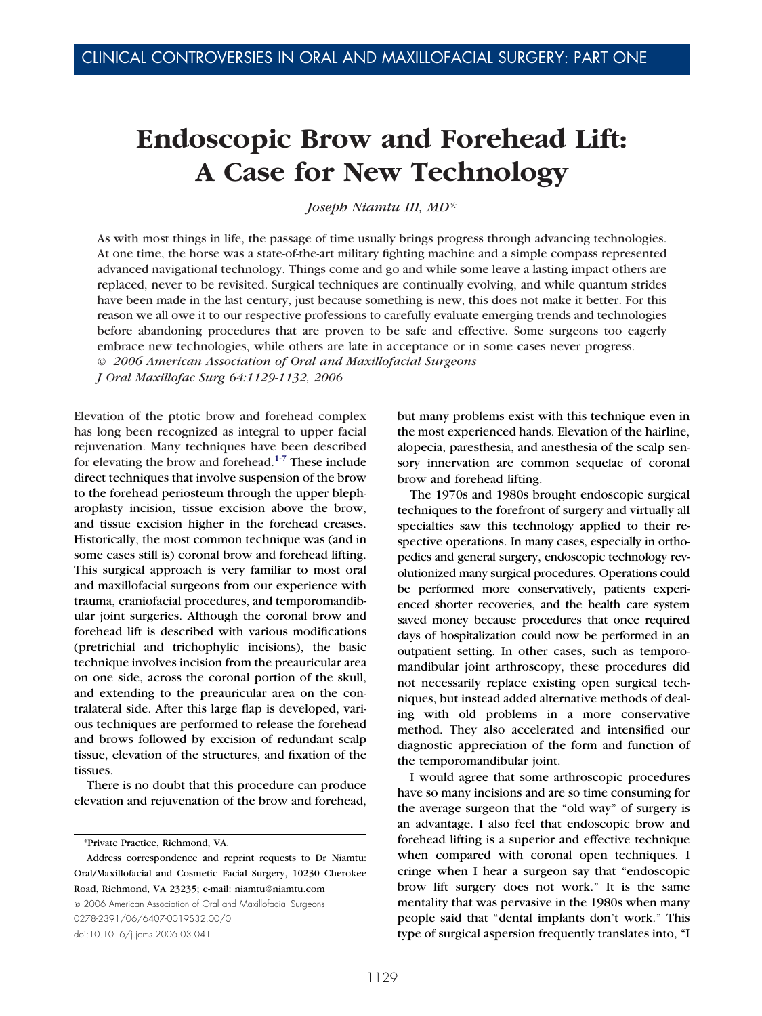## **Endoscopic Brow and Forehead Lift: A Case for New Technology**

*Joseph Niamtu III, MD\**

As with most things in life, the passage of time usually brings progress through advancing technologies. At one time, the horse was a state-of-the-art military fighting machine and a simple compass represented advanced navigational technology. Things come and go and while some leave a lasting impact others are replaced, never to be revisited. Surgical techniques are continually evolving, and while quantum strides have been made in the last century, just because something is new, this does not make it better. For this reason we all owe it to our respective professions to carefully evaluate emerging trends and technologies before abandoning procedures that are proven to be safe and effective. Some surgeons too eagerly embrace new technologies, while others are late in acceptance or in some cases never progress.

*© 2006 American Association of Oral and Maxillofacial Surgeons J Oral Maxillofac Surg 64:1129-1132, 2006*

Elevation of the ptotic brow and forehead complex has long been recognized as integral to upper facial rejuvenation. Many techniques have been described for elevating the brow and forehead.<sup>1-7</sup> These include direct techniques that involve suspension of the brow to the forehead periosteum through the upper blepharoplasty incision, tissue excision above the brow, and tissue excision higher in the forehead creases. Historically, the most common technique was (and in some cases still is) coronal brow and forehead lifting. This surgical approach is very familiar to most oral and maxillofacial surgeons from our experience with trauma, craniofacial procedures, and temporomandibular joint surgeries. Although the coronal brow and forehead lift is described with various modifications (pretrichial and trichophylic incisions), the basic technique involves incision from the preauricular area on one side, across the coronal portion of the skull, and extending to the preauricular area on the contralateral side. After this large flap is developed, various techniques are performed to release the forehead and brows followed by excision of redundant scalp tissue, elevation of the structures, and fixation of the tissues.

There is no doubt that this procedure can produce elevation and rejuvenation of the brow and forehead,

\*Private Practice, Richmond, VA.

© 2006 American Association of Oral and Maxillofacial Surgeons 0278-2391/06/6407-0019\$32.00/0

doi:10.1016/j.joms.2006.03.041

but many problems exist with this technique even in the most experienced hands. Elevation of the hairline, alopecia, paresthesia, and anesthesia of the scalp sensory innervation are common sequelae of coronal brow and forehead lifting.

The 1970s and 1980s brought endoscopic surgical techniques to the forefront of surgery and virtually all specialties saw this technology applied to their respective operations. In many cases, especially in orthopedics and general surgery, endoscopic technology revolutionized many surgical procedures. Operations could be performed more conservatively, patients experienced shorter recoveries, and the health care system saved money because procedures that once required days of hospitalization could now be performed in an outpatient setting. In other cases, such as temporomandibular joint arthroscopy, these procedures did not necessarily replace existing open surgical techniques, but instead added alternative methods of dealing with old problems in a more conservative method. They also accelerated and intensified our diagnostic appreciation of the form and function of the temporomandibular joint.

I would agree that some arthroscopic procedures have so many incisions and are so time consuming for the average surgeon that the "old way" of surgery is an advantage. I also feel that endoscopic brow and forehead lifting is a superior and effective technique when compared with coronal open techniques. I cringe when I hear a surgeon say that "endoscopic brow lift surgery does not work." It is the same mentality that was pervasive in the 1980s when many people said that "dental implants don't work." This type of surgical aspersion frequently translates into, "I

Address correspondence and reprint requests to Dr Niamtu: Oral/Maxillofacial and Cosmetic Facial Surgery, 10230 Cherokee Road, Richmond, VA 23235; e-mail: niamtu@niamtu.com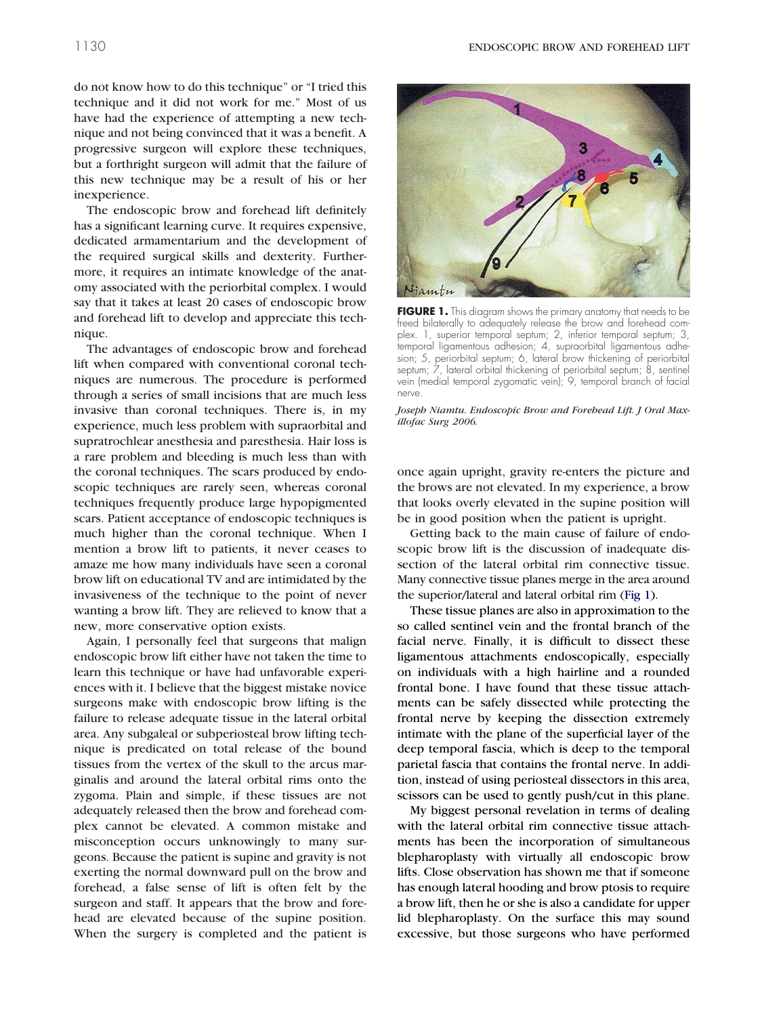do not know how to do this technique" or "I tried this technique and it did not work for me." Most of us have had the experience of attempting a new technique and not being convinced that it was a benefit. A progressive surgeon will explore these techniques, but a forthright surgeon will admit that the failure of this new technique may be a result of his or her inexperience.

The endoscopic brow and forehead lift definitely has a significant learning curve. It requires expensive, dedicated armamentarium and the development of the required surgical skills and dexterity. Furthermore, it requires an intimate knowledge of the anatomy associated with the periorbital complex. I would say that it takes at least 20 cases of endoscopic brow and forehead lift to develop and appreciate this technique.

The advantages of endoscopic brow and forehead lift when compared with conventional coronal techniques are numerous. The procedure is performed through a series of small incisions that are much less invasive than coronal techniques. There is, in my experience, much less problem with supraorbital and supratrochlear anesthesia and paresthesia. Hair loss is a rare problem and bleeding is much less than with the coronal techniques. The scars produced by endoscopic techniques are rarely seen, whereas coronal techniques frequently produce large hypopigmented scars. Patient acceptance of endoscopic techniques is much higher than the coronal technique. When I mention a brow lift to patients, it never ceases to amaze me how many individuals have seen a coronal brow lift on educational TV and are intimidated by the invasiveness of the technique to the point of never wanting a brow lift. They are relieved to know that a new, more conservative option exists.

Again, I personally feel that surgeons that malign endoscopic brow lift either have not taken the time to learn this technique or have had unfavorable experiences with it. I believe that the biggest mistake novice surgeons make with endoscopic brow lifting is the failure to release adequate tissue in the lateral orbital area. Any subgaleal or subperiosteal brow lifting technique is predicated on total release of the bound tissues from the vertex of the skull to the arcus marginalis and around the lateral orbital rims onto the zygoma. Plain and simple, if these tissues are not adequately released then the brow and forehead complex cannot be elevated. A common mistake and misconception occurs unknowingly to many surgeons. Because the patient is supine and gravity is not exerting the normal downward pull on the brow and forehead, a false sense of lift is often felt by the surgeon and staff. It appears that the brow and forehead are elevated because of the supine position. When the surgery is completed and the patient is



**FIGURE 1.** This diagram shows the primary anatomy that needs to be freed bilaterally to adequately release the brow and forehead complex. 1, superior temporal septum; 2, inferior temporal septum; 3, temporal ligamentous adhesion; 4, supraorbital ligamentous adhesion; 5, periorbital septum; 6, lateral brow thickening of periorbital septum;  $\overline{7}$ , lateral orbital thickening of periorbital septum; 8, sentinel vein (medial temporal zygomatic vein); 9, temporal branch of facial nerve.

*Joseph Niamtu. Endoscopic Brow and Forehead Lift. J Oral Maxillofac Surg 2006.*

once again upright, gravity re-enters the picture and the brows are not elevated. In my experience, a brow that looks overly elevated in the supine position will be in good position when the patient is upright.

Getting back to the main cause of failure of endoscopic brow lift is the discussion of inadequate dissection of the lateral orbital rim connective tissue. Many connective tissue planes merge in the area around the superior/lateral and lateral orbital rim (Fig 1).

These tissue planes are also in approximation to the so called sentinel vein and the frontal branch of the facial nerve. Finally, it is difficult to dissect these ligamentous attachments endoscopically, especially on individuals with a high hairline and a rounded frontal bone. I have found that these tissue attachments can be safely dissected while protecting the frontal nerve by keeping the dissection extremely intimate with the plane of the superficial layer of the deep temporal fascia, which is deep to the temporal parietal fascia that contains the frontal nerve. In addition, instead of using periosteal dissectors in this area, scissors can be used to gently push/cut in this plane.

My biggest personal revelation in terms of dealing with the lateral orbital rim connective tissue attachments has been the incorporation of simultaneous blepharoplasty with virtually all endoscopic brow lifts. Close observation has shown me that if someone has enough lateral hooding and brow ptosis to require a brow lift, then he or she is also a candidate for upper lid blepharoplasty. On the surface this may sound excessive, but those surgeons who have performed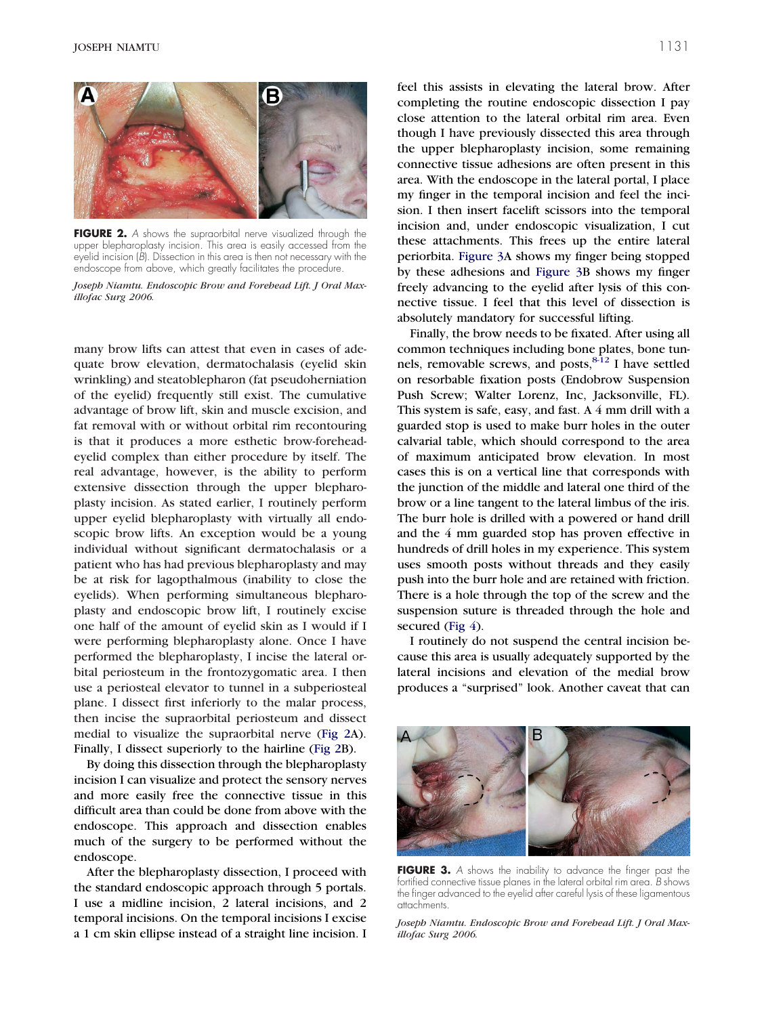

**FIGURE 2.** *A* shows the supraorbital nerve visualized through the upper blepharoplasty incision. This area is easily accessed from the eyelid incision (*B*). Dissection in this area is then not necessary with the endoscope from above, which greatly facilitates the procedure.

*Joseph Niamtu. Endoscopic Brow and Forehead Lift. J Oral Maxillofac Surg 2006.*

many brow lifts can attest that even in cases of adequate brow elevation, dermatochalasis (eyelid skin wrinkling) and steatoblepharon (fat pseudoherniation of the eyelid) frequently still exist. The cumulative advantage of brow lift, skin and muscle excision, and fat removal with or without orbital rim recontouring is that it produces a more esthetic brow-foreheadeyelid complex than either procedure by itself. The real advantage, however, is the ability to perform extensive dissection through the upper blepharoplasty incision. As stated earlier, I routinely perform upper eyelid blepharoplasty with virtually all endoscopic brow lifts. An exception would be a young individual without significant dermatochalasis or a patient who has had previous blepharoplasty and may be at risk for lagopthalmous (inability to close the eyelids). When performing simultaneous blepharoplasty and endoscopic brow lift, I routinely excise one half of the amount of eyelid skin as I would if I were performing blepharoplasty alone. Once I have performed the blepharoplasty, I incise the lateral orbital periosteum in the frontozygomatic area. I then use a periosteal elevator to tunnel in a subperiosteal plane. I dissect first inferiorly to the malar process, then incise the supraorbital periosteum and dissect medial to visualize the supraorbital nerve (Fig 2A). Finally, I dissect superiorly to the hairline (Fig 2B).

By doing this dissection through the blepharoplasty incision I can visualize and protect the sensory nerves and more easily free the connective tissue in this difficult area than could be done from above with the endoscope. This approach and dissection enables much of the surgery to be performed without the endoscope.

After the blepharoplasty dissection, I proceed with the standard endoscopic approach through 5 portals. I use a midline incision, 2 lateral incisions, and 2 temporal incisions. On the temporal incisions I excise a 1 cm skin ellipse instead of a straight line incision. I feel this assists in elevating the lateral brow. After completing the routine endoscopic dissection I pay close attention to the lateral orbital rim area. Even though I have previously dissected this area through the upper blepharoplasty incision, some remaining connective tissue adhesions are often present in this area. With the endoscope in the lateral portal, I place my finger in the temporal incision and feel the incision. I then insert facelift scissors into the temporal incision and, under endoscopic visualization, I cut these attachments. This frees up the entire lateral periorbita. Figure 3A shows my finger being stopped by these adhesions and Figure 3B shows my finger freely advancing to the eyelid after lysis of this connective tissue. I feel that this level of dissection is absolutely mandatory for successful lifting.

Finally, the brow needs to be fixated. After using all common techniques including bone plates, bone tunnels, removable screws, and posts, $8-12$  I have settled on resorbable fixation posts (Endobrow Suspension Push Screw; Walter Lorenz, Inc, Jacksonville, FL). This system is safe, easy, and fast. A 4 mm drill with a guarded stop is used to make burr holes in the outer calvarial table, which should correspond to the area of maximum anticipated brow elevation. In most cases this is on a vertical line that corresponds with the junction of the middle and lateral one third of the brow or a line tangent to the lateral limbus of the iris. The burr hole is drilled with a powered or hand drill and the 4 mm guarded stop has proven effective in hundreds of drill holes in my experience. This system uses smooth posts without threads and they easily push into the burr hole and are retained with friction. There is a hole through the top of the screw and the suspension suture is threaded through the hole and secured [\(Fig 4\)](#page-3-0).

I routinely do not suspend the central incision because this area is usually adequately supported by the lateral incisions and elevation of the medial brow produces a "surprised" look. Another caveat that can



**FIGURE 3.** *A* shows the inability to advance the finger past the fortified connective tissue planes in the lateral orbital rim area. *B* shows the finger advanced to the eyelid after careful lysis of these ligamentous attachments.

*Joseph Niamtu. Endoscopic Brow and Forehead Lift. J Oral Maxillofac Surg 2006.*